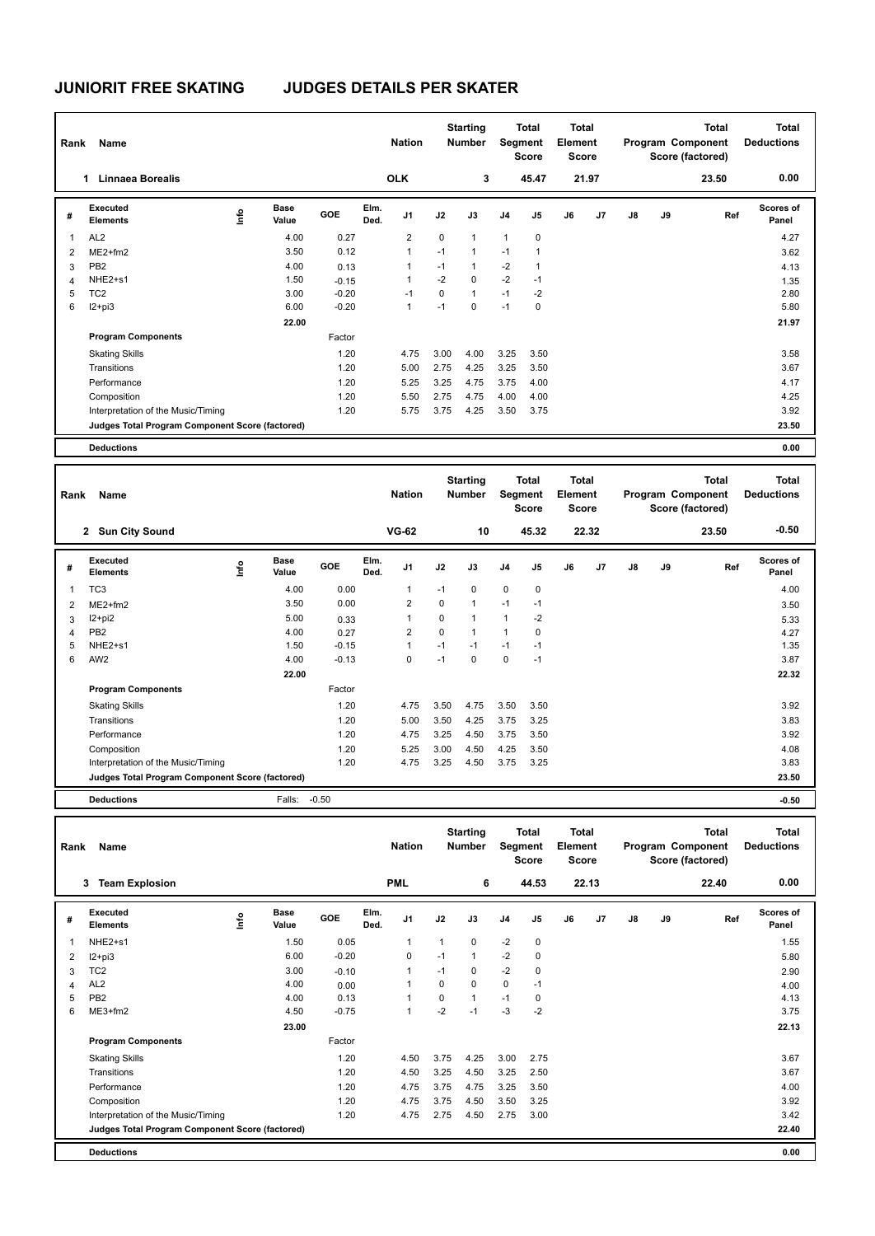|              | Name<br>Rank                                    |      |                      |         |              | <b>Nation</b>  |      | <b>Starting</b><br><b>Number</b> | <b>Segment</b> | <b>Total</b><br><b>Score</b> | Total<br>Element<br><b>Score</b> |       |               |    | <b>Total</b><br>Program Component<br>Score (factored) | <b>Total</b><br><b>Deductions</b> |
|--------------|-------------------------------------------------|------|----------------------|---------|--------------|----------------|------|----------------------------------|----------------|------------------------------|----------------------------------|-------|---------------|----|-------------------------------------------------------|-----------------------------------|
|              | Linnaea Borealis<br>1.                          |      |                      |         |              | <b>OLK</b>     |      | 3                                |                | 45.47                        |                                  | 21.97 |               |    | 23.50                                                 | 0.00                              |
| #            | Executed<br><b>Elements</b>                     | ١mfo | <b>Base</b><br>Value | GOE     | Elm.<br>Ded. | J <sub>1</sub> | J2   | J3                               | J <sub>4</sub> | J <sub>5</sub>               | J6                               | J7    | $\mathsf{J}8$ | J9 | Ref                                                   | Scores of<br>Panel                |
| $\mathbf{1}$ | AL <sub>2</sub>                                 |      | 4.00                 | 0.27    |              | $\overline{2}$ | 0    | $\mathbf{1}$                     | 1              | $\mathbf 0$                  |                                  |       |               |    |                                                       | 4.27                              |
| 2            | $ME2+fm2$                                       |      | 3.50                 | 0.12    |              | $\mathbf{1}$   | $-1$ | $\mathbf{1}$                     | $-1$           | 1                            |                                  |       |               |    |                                                       | 3.62                              |
| 3            | PB <sub>2</sub>                                 |      | 4.00                 | 0.13    |              | 1              | $-1$ | $\mathbf{1}$                     | $-2$           | 1                            |                                  |       |               |    |                                                       | 4.13                              |
| 4            | NHE2+s1                                         |      | 1.50                 | $-0.15$ |              | 1              | $-2$ | $\Omega$                         | $-2$           | $-1$                         |                                  |       |               |    |                                                       | 1.35                              |
| 5            | TC <sub>2</sub>                                 |      | 3.00                 | $-0.20$ |              | $-1$           | 0    | $\mathbf{1}$                     | $-1$           | $-2$                         |                                  |       |               |    |                                                       | 2.80                              |
| 6            | I2+pi3                                          |      | 6.00                 | $-0.20$ |              | 1              | $-1$ | $\mathbf 0$                      | $-1$           | 0                            |                                  |       |               |    |                                                       | 5.80                              |
|              |                                                 |      | 22.00                |         |              |                |      |                                  |                |                              |                                  |       |               |    |                                                       | 21.97                             |
|              | <b>Program Components</b>                       |      |                      | Factor  |              |                |      |                                  |                |                              |                                  |       |               |    |                                                       |                                   |
|              | <b>Skating Skills</b>                           |      |                      | 1.20    |              | 4.75           | 3.00 | 4.00                             | 3.25           | 3.50                         |                                  |       |               |    |                                                       | 3.58                              |
|              | Transitions                                     |      |                      | 1.20    |              | 5.00           | 2.75 | 4.25                             | 3.25           | 3.50                         |                                  |       |               |    |                                                       | 3.67                              |
|              | Performance                                     |      |                      | 1.20    |              | 5.25           | 3.25 | 4.75                             | 3.75           | 4.00                         |                                  |       |               |    |                                                       | 4.17                              |
|              | Composition                                     |      |                      | 1.20    |              | 5.50           | 2.75 | 4.75                             | 4.00           | 4.00                         |                                  |       |               |    |                                                       | 4.25                              |
|              | Interpretation of the Music/Timing              |      |                      | 1.20    |              | 5.75           | 3.75 | 4.25                             | 3.50           | 3.75                         |                                  |       |               |    |                                                       | 3.92                              |
|              | Judges Total Program Component Score (factored) |      |                      |         |              |                |      |                                  |                |                              |                                  |       |               |    |                                                       | 23.50                             |
|              | <b>Deductions</b>                               |      |                      |         |              |                |      |                                  |                |                              |                                  |       |               |    |                                                       | 0.00                              |

| Rank           | Name                                            |                              |         |              | <b>Nation</b>  |             | <b>Starting</b><br><b>Number</b> |                | Total<br>Segment<br><b>Score</b> | Total<br>Element<br><b>Score</b> |                |               |    | <b>Total</b><br>Program Component<br>Score (factored) | Total<br><b>Deductions</b> |
|----------------|-------------------------------------------------|------------------------------|---------|--------------|----------------|-------------|----------------------------------|----------------|----------------------------------|----------------------------------|----------------|---------------|----|-------------------------------------------------------|----------------------------|
|                | 2 Sun City Sound                                |                              |         |              | <b>VG-62</b>   |             | 10                               |                | 45.32                            |                                  | 22.32          |               |    | 23.50                                                 | $-0.50$                    |
| #              | Executed<br><b>Elements</b>                     | <b>Base</b><br>lnfo<br>Value | GOE     | Elm.<br>Ded. | J1             | J2          | J3                               | J <sub>4</sub> | J <sub>5</sub>                   | J6                               | J <sub>7</sub> | $\mathsf{J}8$ | J9 | Ref                                                   | <b>Scores of</b><br>Panel  |
| $\overline{1}$ | TC <sub>3</sub>                                 | 4.00                         | 0.00    |              |                | $-1$        | $\Omega$                         | $\mathbf 0$    | 0                                |                                  |                |               |    |                                                       | 4.00                       |
| $\overline{2}$ | $ME2+fm2$                                       | 3.50                         | 0.00    |              | $\overline{2}$ | $\mathbf 0$ | $\mathbf{1}$                     | $-1$           | $-1$                             |                                  |                |               |    |                                                       | 3.50                       |
| 3              | $12+pi2$                                        | 5.00                         | 0.33    |              |                | $\mathbf 0$ | $\mathbf{1}$                     | $\overline{1}$ | $-2$                             |                                  |                |               |    |                                                       | 5.33                       |
| $\overline{4}$ | PB <sub>2</sub>                                 | 4.00                         | 0.27    |              | 2              | $\mathbf 0$ | $\mathbf{1}$                     | $\overline{1}$ | 0                                |                                  |                |               |    |                                                       | 4.27                       |
| 5              | NHE2+s1                                         | 1.50                         | $-0.15$ |              |                | $-1$        | $-1$                             | $-1$           | $-1$                             |                                  |                |               |    |                                                       | 1.35                       |
| 6              | AW <sub>2</sub>                                 | 4.00                         | $-0.13$ |              | $\Omega$       | $-1$        | $\Omega$                         | 0              | $-1$                             |                                  |                |               |    |                                                       | 3.87                       |
|                |                                                 | 22.00                        |         |              |                |             |                                  |                |                                  |                                  |                |               |    |                                                       | 22.32                      |
|                | <b>Program Components</b>                       |                              | Factor  |              |                |             |                                  |                |                                  |                                  |                |               |    |                                                       |                            |
|                | <b>Skating Skills</b>                           |                              | 1.20    |              | 4.75           | 3.50        | 4.75                             | 3.50           | 3.50                             |                                  |                |               |    |                                                       | 3.92                       |
|                | Transitions                                     |                              | 1.20    |              | 5.00           | 3.50        | 4.25                             | 3.75           | 3.25                             |                                  |                |               |    |                                                       | 3.83                       |
|                | Performance                                     |                              | 1.20    |              | 4.75           | 3.25        | 4.50                             | 3.75           | 3.50                             |                                  |                |               |    |                                                       | 3.92                       |
|                | Composition                                     |                              | 1.20    |              | 5.25           | 3.00        | 4.50                             | 4.25           | 3.50                             |                                  |                |               |    |                                                       | 4.08                       |
|                | Interpretation of the Music/Timing              |                              | 1.20    |              | 4.75           | 3.25        | 4.50                             | 3.75           | 3.25                             |                                  |                |               |    |                                                       | 3.83                       |
|                | Judges Total Program Component Score (factored) |                              |         |              |                |             |                                  |                |                                  |                                  |                |               |    |                                                       | 23.50                      |
|                | <b>Deductions</b>                               | Falls:                       | $-0.50$ |              |                |             |                                  |                |                                  |                                  |                |               |    |                                                       | $-0.50$                    |

| Rank | Name                                            |    |                      |         |              | <b>Nation</b>  |      | <b>Starting</b><br><b>Number</b> | Segment        | <b>Total</b><br><b>Score</b> | <b>Total</b><br>Element<br><b>Score</b> |       |    |    | <b>Total</b><br>Program Component<br>Score (factored) | Total<br><b>Deductions</b> |
|------|-------------------------------------------------|----|----------------------|---------|--------------|----------------|------|----------------------------------|----------------|------------------------------|-----------------------------------------|-------|----|----|-------------------------------------------------------|----------------------------|
|      | <b>Team Explosion</b><br>3                      |    |                      |         |              | <b>PML</b>     |      | 6                                |                | 44.53                        |                                         | 22.13 |    |    | 22.40                                                 | 0.00                       |
| #    | Executed<br><b>Elements</b>                     | ۴ô | <b>Base</b><br>Value | GOE     | Elm.<br>Ded. | J1             | J2   | J3                               | J <sub>4</sub> | J5                           | J6                                      | J7    | J8 | J9 | Ref                                                   | <b>Scores of</b><br>Panel  |
| 1    | NHE2+s1                                         |    | 1.50                 | 0.05    |              | $\overline{1}$ | 1    | $\mathbf 0$                      | $-2$           | $\mathbf 0$                  |                                         |       |    |    |                                                       | 1.55                       |
| 2    | $I2 + pi3$                                      |    | 6.00                 | $-0.20$ |              | 0              | $-1$ | $\mathbf{1}$                     | $-2$           | 0                            |                                         |       |    |    |                                                       | 5.80                       |
| 3    | TC <sub>2</sub>                                 |    | 3.00                 | $-0.10$ |              | $\overline{1}$ | $-1$ | $\mathbf 0$                      | $-2$           | 0                            |                                         |       |    |    |                                                       | 2.90                       |
| 4    | AL <sub>2</sub>                                 |    | 4.00                 | 0.00    |              | $\overline{1}$ | 0    | $\mathbf 0$                      | 0              | $-1$                         |                                         |       |    |    |                                                       | 4.00                       |
| 5    | PB <sub>2</sub>                                 |    | 4.00                 | 0.13    |              | 1              | 0    | $\mathbf{1}$                     | $-1$           | 0                            |                                         |       |    |    |                                                       | 4.13                       |
| 6    | ME3+fm2                                         |    | 4.50                 | $-0.75$ |              | $\overline{1}$ | $-2$ | $-1$                             | $-3$           | $-2$                         |                                         |       |    |    |                                                       | 3.75                       |
|      |                                                 |    | 23.00                |         |              |                |      |                                  |                |                              |                                         |       |    |    |                                                       | 22.13                      |
|      | <b>Program Components</b>                       |    |                      | Factor  |              |                |      |                                  |                |                              |                                         |       |    |    |                                                       |                            |
|      | <b>Skating Skills</b>                           |    |                      | 1.20    |              | 4.50           | 3.75 | 4.25                             | 3.00           | 2.75                         |                                         |       |    |    |                                                       | 3.67                       |
|      | Transitions                                     |    |                      | 1.20    |              | 4.50           | 3.25 | 4.50                             | 3.25           | 2.50                         |                                         |       |    |    |                                                       | 3.67                       |
|      | Performance                                     |    |                      | 1.20    |              | 4.75           | 3.75 | 4.75                             | 3.25           | 3.50                         |                                         |       |    |    |                                                       | 4.00                       |
|      | Composition                                     |    |                      | 1.20    |              | 4.75           | 3.75 | 4.50                             | 3.50           | 3.25                         |                                         |       |    |    |                                                       | 3.92                       |
|      | Interpretation of the Music/Timing              |    |                      | 1.20    |              | 4.75           | 2.75 | 4.50                             | 2.75           | 3.00                         |                                         |       |    |    |                                                       | 3.42                       |
|      | Judges Total Program Component Score (factored) |    |                      |         |              |                |      |                                  |                |                              |                                         |       |    |    |                                                       | 22.40                      |
|      | <b>Deductions</b>                               |    |                      |         |              |                |      |                                  |                |                              |                                         |       |    |    |                                                       | 0.00                       |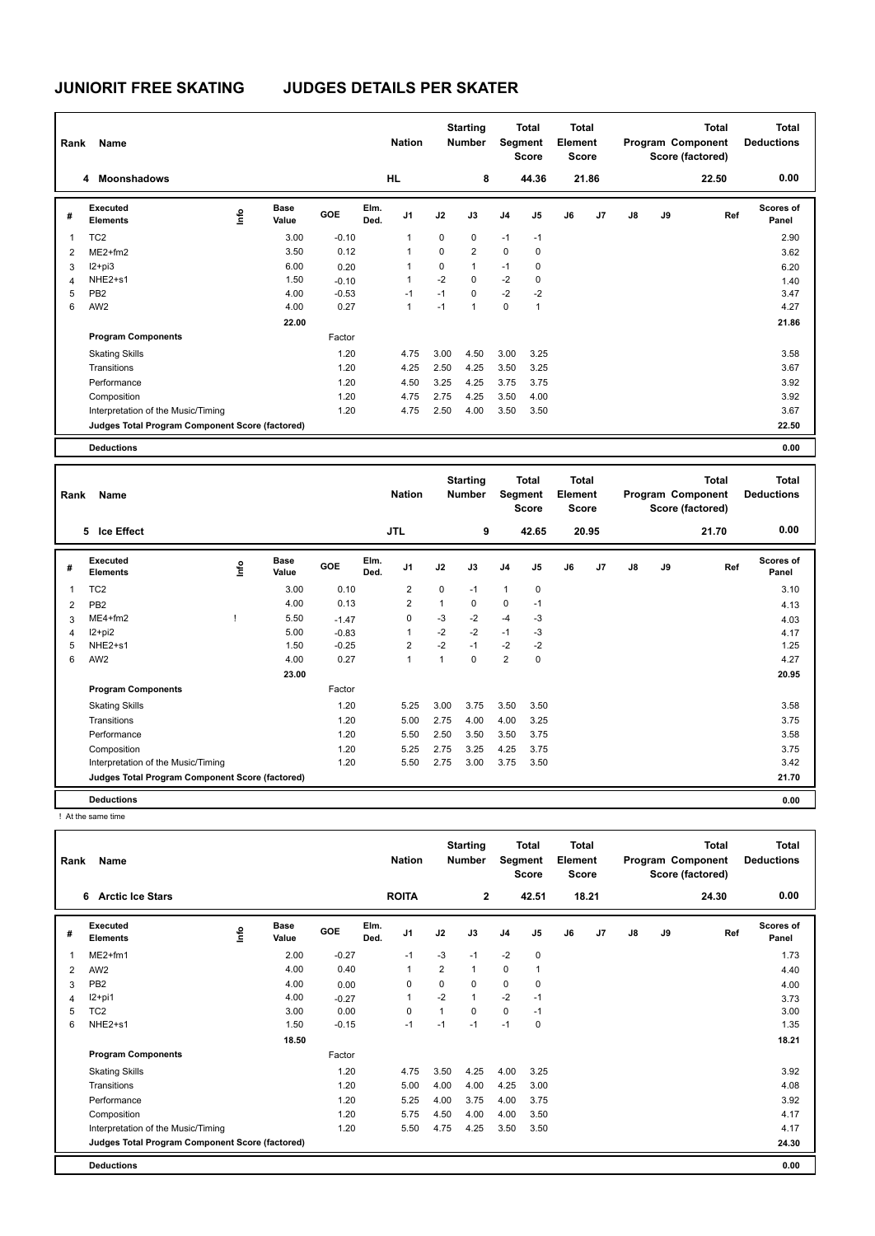| Rank           | Name                                            |      |                      |         |              | <b>Nation</b>  |             | <b>Starting</b><br><b>Number</b> | Segment     | Total<br><b>Score</b> | <b>Total</b><br>Element<br><b>Score</b> |       |    |    | <b>Total</b><br>Program Component<br>Score (factored) | Total<br><b>Deductions</b> |
|----------------|-------------------------------------------------|------|----------------------|---------|--------------|----------------|-------------|----------------------------------|-------------|-----------------------|-----------------------------------------|-------|----|----|-------------------------------------------------------|----------------------------|
|                | <b>Moonshadows</b><br>4                         |      |                      |         |              | <b>HL</b>      |             | 8                                |             | 44.36                 |                                         | 21.86 |    |    | 22.50                                                 | 0.00                       |
| #              | <b>Executed</b><br><b>Elements</b>              | ١mfo | <b>Base</b><br>Value | GOE     | Elm.<br>Ded. | J <sub>1</sub> | J2          | J3                               | J4          | J5                    | J6                                      | J7    | J8 | J9 | Ref                                                   | <b>Scores of</b><br>Panel  |
|                | TC <sub>2</sub>                                 |      | 3.00                 | $-0.10$ |              | 1              | $\mathbf 0$ | $\mathbf 0$                      | $-1$        | $-1$                  |                                         |       |    |    |                                                       | 2.90                       |
| 2              | $ME2+fm2$                                       |      | 3.50                 | 0.12    |              | 1              | 0           | $\overline{2}$                   | $\mathbf 0$ | 0                     |                                         |       |    |    |                                                       | 3.62                       |
| 3              | $12+pi3$                                        |      | 6.00                 | 0.20    |              |                | 0           | $\mathbf{1}$                     | $-1$        | 0                     |                                         |       |    |    |                                                       | 6.20                       |
| $\overline{4}$ | NHE <sub>2+s1</sub>                             |      | 1.50                 | $-0.10$ |              | 1              | $-2$        | $\Omega$                         | $-2$        | 0                     |                                         |       |    |    |                                                       | 1.40                       |
| 5              | PB <sub>2</sub>                                 |      | 4.00                 | $-0.53$ |              | $-1$           | $-1$        | 0                                | $-2$        | $-2$                  |                                         |       |    |    |                                                       | 3.47                       |
| 6              | AW <sub>2</sub>                                 |      | 4.00                 | 0.27    |              | 1              | $-1$        | $\overline{1}$                   | $\mathbf 0$ | 1                     |                                         |       |    |    |                                                       | 4.27                       |
|                |                                                 |      | 22.00                |         |              |                |             |                                  |             |                       |                                         |       |    |    |                                                       | 21.86                      |
|                | <b>Program Components</b>                       |      |                      | Factor  |              |                |             |                                  |             |                       |                                         |       |    |    |                                                       |                            |
|                | <b>Skating Skills</b>                           |      |                      | 1.20    |              | 4.75           | 3.00        | 4.50                             | 3.00        | 3.25                  |                                         |       |    |    |                                                       | 3.58                       |
|                | Transitions                                     |      |                      | 1.20    |              | 4.25           | 2.50        | 4.25                             | 3.50        | 3.25                  |                                         |       |    |    |                                                       | 3.67                       |
|                | Performance                                     |      |                      | 1.20    |              | 4.50           | 3.25        | 4.25                             | 3.75        | 3.75                  |                                         |       |    |    |                                                       | 3.92                       |
|                | Composition                                     |      |                      | 1.20    |              | 4.75           | 2.75        | 4.25                             | 3.50        | 4.00                  |                                         |       |    |    |                                                       | 3.92                       |
|                | Interpretation of the Music/Timing              |      |                      | 1.20    |              | 4.75           | 2.50        | 4.00                             | 3.50        | 3.50                  |                                         |       |    |    |                                                       | 3.67                       |
|                | Judges Total Program Component Score (factored) |      |                      |         |              |                |             |                                  |             |                       |                                         |       |    |    |                                                       | 22.50                      |
|                | <b>Deductions</b>                               |      |                      |         |              |                |             |                                  |             |                       |                                         |       |    |    |                                                       | 0.00                       |

| Rank | Name                                            |      |                      |         |              |                |                | <b>Starting</b><br><b>Number</b> | Segment        | Total<br><b>Score</b> | Total<br>Element<br><b>Score</b> |       |    |    | Total<br>Program Component<br>Score (factored) | <b>Total</b><br><b>Deductions</b> |
|------|-------------------------------------------------|------|----------------------|---------|--------------|----------------|----------------|----------------------------------|----------------|-----------------------|----------------------------------|-------|----|----|------------------------------------------------|-----------------------------------|
|      | 5 Ice Effect                                    |      |                      |         |              | JTL            |                | 9                                |                | 42.65                 |                                  | 20.95 |    |    | 21.70                                          | 0.00                              |
| #    | Executed<br><b>Elements</b>                     | lnfo | <b>Base</b><br>Value | GOE     | Elm.<br>Ded. | J1             | J2             | J3                               | J <sub>4</sub> | J5                    | J6                               | J7    | J8 | J9 | Ref                                            | Scores of<br>Panel                |
| 1    | TC <sub>2</sub>                                 |      | 3.00                 | 0.10    |              | $\overline{2}$ | $\mathbf 0$    | $-1$                             | $\mathbf{1}$   | $\mathbf 0$           |                                  |       |    |    |                                                | 3.10                              |
| 2    | PB <sub>2</sub>                                 |      | 4.00                 | 0.13    |              | 2              | $\mathbf{1}$   | $\mathbf 0$                      | $\mathbf 0$    | $-1$                  |                                  |       |    |    |                                                | 4.13                              |
| 3    | $ME4 + fm2$                                     |      | 5.50                 | $-1.47$ |              | $\mathbf 0$    | $-3$           | $-2$                             | $-4$           | $-3$                  |                                  |       |    |    |                                                | 4.03                              |
| 4    | $12 + pi2$                                      |      | 5.00                 | $-0.83$ |              | $\overline{1}$ | $-2$           | $-2$                             | $-1$           | $-3$                  |                                  |       |    |    |                                                | 4.17                              |
| 5    | NHE2+s1                                         |      | 1.50                 | $-0.25$ |              | 2              | $-2$           | $-1$                             | $-2$           | $-2$                  |                                  |       |    |    |                                                | 1.25                              |
| 6    | AW <sub>2</sub>                                 |      | 4.00                 | 0.27    |              | $\overline{1}$ | $\overline{1}$ | $\Omega$                         | $\overline{2}$ | 0                     |                                  |       |    |    |                                                | 4.27                              |
|      |                                                 |      | 23.00                |         |              |                |                |                                  |                |                       |                                  |       |    |    |                                                | 20.95                             |
|      | <b>Program Components</b>                       |      |                      | Factor  |              |                |                |                                  |                |                       |                                  |       |    |    |                                                |                                   |
|      | <b>Skating Skills</b>                           |      |                      | 1.20    |              | 5.25           | 3.00           | 3.75                             | 3.50           | 3.50                  |                                  |       |    |    |                                                | 3.58                              |
|      | Transitions                                     |      |                      | 1.20    |              | 5.00           | 2.75           | 4.00                             | 4.00           | 3.25                  |                                  |       |    |    |                                                | 3.75                              |
|      | Performance                                     |      |                      | 1.20    |              | 5.50           | 2.50           | 3.50                             | 3.50           | 3.75                  |                                  |       |    |    |                                                | 3.58                              |
|      | Composition                                     |      |                      | 1.20    |              | 5.25           | 2.75           | 3.25                             | 4.25           | 3.75                  |                                  |       |    |    |                                                | 3.75                              |
|      | Interpretation of the Music/Timing              |      |                      | 1.20    |              | 5.50           | 2.75           | 3.00                             | 3.75           | 3.50                  |                                  |       |    |    |                                                | 3.42                              |
|      | Judges Total Program Component Score (factored) |      |                      |         |              |                |                |                                  |                |                       |                                  |       |    |    |                                                | 21.70                             |
|      | <b>Deductions</b>                               |      |                      |         |              |                |                |                                  |                |                       |                                  |       |    |    |                                                | 0.00                              |

! At the same time

|   | Name<br>Rank                                    |      |                      |         |              | <b>Nation</b>  |                | <b>Starting</b><br><b>Number</b> | Segment        | <b>Total</b><br>Score | <b>Total</b><br>Element<br><b>Score</b> |                |    |    | <b>Total</b><br>Program Component<br>Score (factored) | <b>Total</b><br><b>Deductions</b> |
|---|-------------------------------------------------|------|----------------------|---------|--------------|----------------|----------------|----------------------------------|----------------|-----------------------|-----------------------------------------|----------------|----|----|-------------------------------------------------------|-----------------------------------|
|   | <b>Arctic Ice Stars</b><br>6                    |      |                      |         |              | <b>ROITA</b>   |                | $\mathbf{2}$                     |                | 42.51                 |                                         | 18.21          |    |    | 24.30                                                 | 0.00                              |
| # | Executed<br><b>Elements</b>                     | Life | <b>Base</b><br>Value | GOE     | Elm.<br>Ded. | J1             | J2             | J3                               | J <sub>4</sub> | J <sub>5</sub>        | J6                                      | J <sub>7</sub> | J8 | J9 | Ref                                                   | Scores of<br>Panel                |
|   | $ME2+fm1$                                       |      | 2.00                 | $-0.27$ |              | $-1$           | $-3$           | $-1$                             | $-2$           | $\pmb{0}$             |                                         |                |    |    |                                                       | 1.73                              |
| 2 | AW <sub>2</sub>                                 |      | 4.00                 | 0.40    |              | $\overline{1}$ | $\overline{2}$ | $\mathbf{1}$                     | $\mathbf 0$    | $\overline{1}$        |                                         |                |    |    |                                                       | 4.40                              |
| 3 | PB <sub>2</sub>                                 |      | 4.00                 | 0.00    |              | 0              | $\mathbf 0$    | 0                                | $\mathbf 0$    | 0                     |                                         |                |    |    |                                                       | 4.00                              |
| 4 | $12+pi1$                                        |      | 4.00                 | $-0.27$ |              | $\overline{1}$ | $-2$           | $\mathbf{1}$                     | $-2$           | $-1$                  |                                         |                |    |    |                                                       | 3.73                              |
| 5 | TC <sub>2</sub>                                 |      | 3.00                 | 0.00    |              | $\mathbf 0$    | 1              | $\mathbf 0$                      | $\mathbf 0$    | $-1$                  |                                         |                |    |    |                                                       | 3.00                              |
| 6 | NHE2+s1                                         |      | 1.50                 | $-0.15$ |              | $-1$           | $-1$           | $-1$                             | $-1$           | 0                     |                                         |                |    |    |                                                       | 1.35                              |
|   |                                                 |      | 18.50                |         |              |                |                |                                  |                |                       |                                         |                |    |    |                                                       | 18.21                             |
|   | <b>Program Components</b>                       |      |                      | Factor  |              |                |                |                                  |                |                       |                                         |                |    |    |                                                       |                                   |
|   | <b>Skating Skills</b>                           |      |                      | 1.20    |              | 4.75           | 3.50           | 4.25                             | 4.00           | 3.25                  |                                         |                |    |    |                                                       | 3.92                              |
|   | Transitions                                     |      |                      | 1.20    |              | 5.00           | 4.00           | 4.00                             | 4.25           | 3.00                  |                                         |                |    |    |                                                       | 4.08                              |
|   | Performance                                     |      |                      | 1.20    |              | 5.25           | 4.00           | 3.75                             | 4.00           | 3.75                  |                                         |                |    |    |                                                       | 3.92                              |
|   | Composition                                     |      |                      | 1.20    |              | 5.75           | 4.50           | 4.00                             | 4.00           | 3.50                  |                                         |                |    |    |                                                       | 4.17                              |
|   | Interpretation of the Music/Timing              |      |                      | 1.20    |              | 5.50           | 4.75           | 4.25                             | 3.50           | 3.50                  |                                         |                |    |    |                                                       | 4.17                              |
|   | Judges Total Program Component Score (factored) |      |                      |         |              |                |                |                                  |                |                       |                                         |                |    |    |                                                       | 24.30                             |
|   | <b>Deductions</b>                               |      |                      |         |              |                |                |                                  |                |                       |                                         |                |    |    |                                                       | 0.00                              |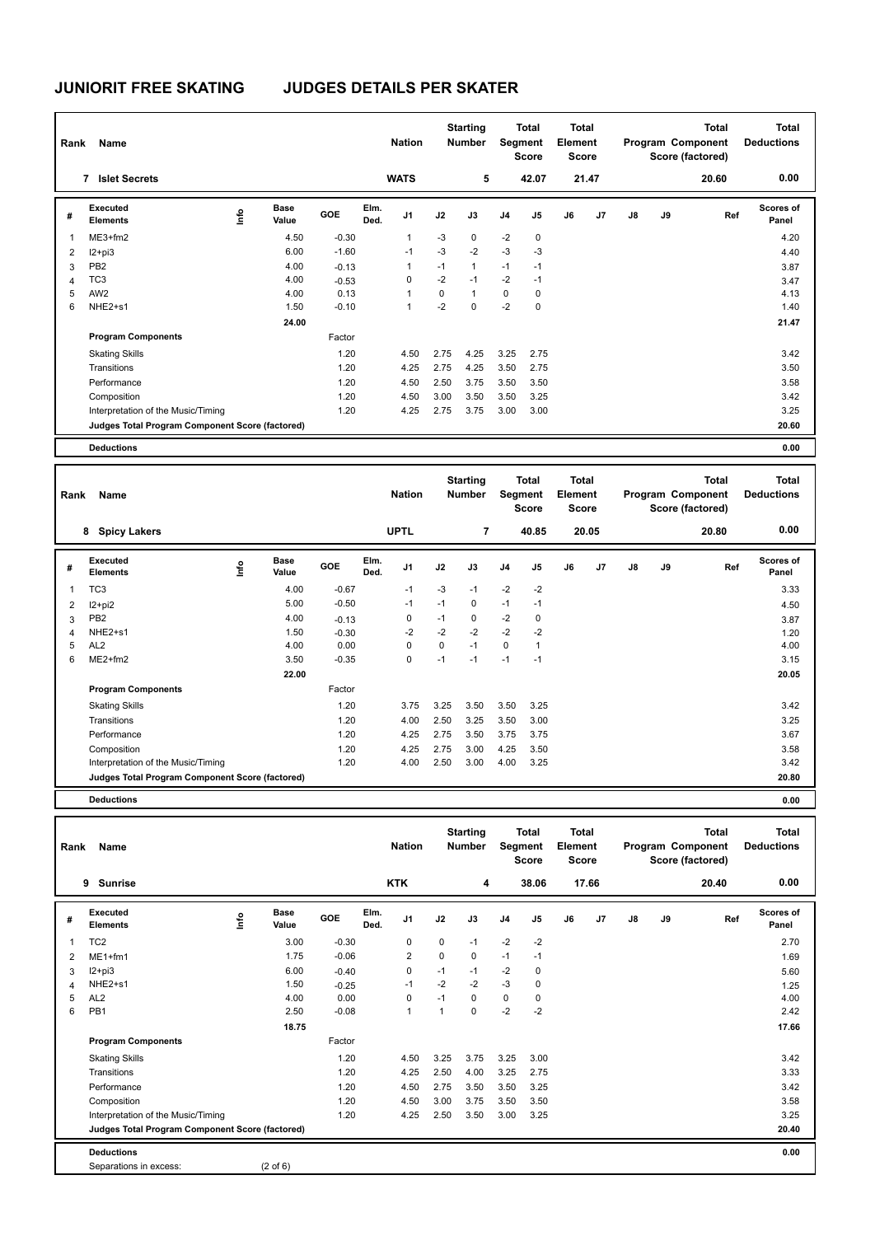|                | Name<br>Rank                                    |      |                      |         |              | <b>Nation</b>  |      | <b>Starting</b><br><b>Number</b> |                | <b>Total</b><br><b>Segment</b><br><b>Score</b> | <b>Total</b><br>Element<br><b>Score</b> |       |    |    | <b>Total</b><br>Program Component<br>Score (factored) | <b>Total</b><br><b>Deductions</b> |
|----------------|-------------------------------------------------|------|----------------------|---------|--------------|----------------|------|----------------------------------|----------------|------------------------------------------------|-----------------------------------------|-------|----|----|-------------------------------------------------------|-----------------------------------|
|                | <b>Islet Secrets</b><br>7                       |      |                      |         |              | <b>WATS</b>    |      | 5                                |                | 42.07                                          |                                         | 21.47 |    |    | 20.60                                                 | 0.00                              |
| #              | <b>Executed</b><br><b>Elements</b>              | ١mfo | <b>Base</b><br>Value | GOE     | Elm.<br>Ded. | J <sub>1</sub> | J2   | J3                               | J <sub>4</sub> | J <sub>5</sub>                                 | J6                                      | J7    | J8 | J9 | Ref                                                   | Scores of<br>Panel                |
|                | $ME3+fm2$                                       |      | 4.50                 | $-0.30$ |              | $\mathbf{1}$   | $-3$ | $\mathbf 0$                      | $-2$           | $\mathbf 0$                                    |                                         |       |    |    |                                                       | 4.20                              |
| 2              | $12+pi3$                                        |      | 6.00                 | $-1.60$ |              | $-1$           | $-3$ | $-2$                             | $-3$           | $-3$                                           |                                         |       |    |    |                                                       | 4.40                              |
| 3              | PB <sub>2</sub>                                 |      | 4.00                 | $-0.13$ |              | 1              | $-1$ | $\mathbf{1}$                     | $-1$           | $-1$                                           |                                         |       |    |    |                                                       | 3.87                              |
| $\overline{4}$ | TC <sub>3</sub>                                 |      | 4.00                 | $-0.53$ |              | 0              | $-2$ | $-1$                             | $-2$           | $-1$                                           |                                         |       |    |    |                                                       | 3.47                              |
| 5              | AW <sub>2</sub>                                 |      | 4.00                 | 0.13    |              | 1              | 0    | $\mathbf{1}$                     | 0              | 0                                              |                                         |       |    |    |                                                       | 4.13                              |
| 6              | NHE2+s1                                         |      | 1.50                 | $-0.10$ |              | 1              | $-2$ | $\mathbf 0$                      | $-2$           | 0                                              |                                         |       |    |    |                                                       | 1.40                              |
|                |                                                 |      | 24.00                |         |              |                |      |                                  |                |                                                |                                         |       |    |    |                                                       | 21.47                             |
|                | <b>Program Components</b>                       |      |                      | Factor  |              |                |      |                                  |                |                                                |                                         |       |    |    |                                                       |                                   |
|                | <b>Skating Skills</b>                           |      |                      | 1.20    |              | 4.50           | 2.75 | 4.25                             | 3.25           | 2.75                                           |                                         |       |    |    |                                                       | 3.42                              |
|                | Transitions                                     |      |                      | 1.20    |              | 4.25           | 2.75 | 4.25                             | 3.50           | 2.75                                           |                                         |       |    |    |                                                       | 3.50                              |
|                | Performance                                     |      |                      | 1.20    |              | 4.50           | 2.50 | 3.75                             | 3.50           | 3.50                                           |                                         |       |    |    |                                                       | 3.58                              |
|                | Composition                                     |      |                      | 1.20    |              | 4.50           | 3.00 | 3.50                             | 3.50           | 3.25                                           |                                         |       |    |    |                                                       | 3.42                              |
|                | Interpretation of the Music/Timing              |      |                      | 1.20    |              | 4.25           | 2.75 | 3.75                             | 3.00           | 3.00                                           |                                         |       |    |    |                                                       | 3.25                              |
|                | Judges Total Program Component Score (factored) |      |                      |         |              |                |      |                                  |                |                                                |                                         |       |    |    |                                                       | 20.60                             |
|                | <b>Deductions</b>                               |      |                      |         |              |                |      |                                  |                |                                                |                                         |       |    |    |                                                       | 0.00                              |

| Rank | Name<br>8                                       |      |                      |         |              | <b>Nation</b>  |      | <b>Starting</b><br><b>Number</b> | Segment        | <b>Total</b><br><b>Score</b> | <b>Total</b><br>Element<br>Score |       |               |    | <b>Total</b><br>Program Component<br>Score (factored) | Total<br><b>Deductions</b> |
|------|-------------------------------------------------|------|----------------------|---------|--------------|----------------|------|----------------------------------|----------------|------------------------------|----------------------------------|-------|---------------|----|-------------------------------------------------------|----------------------------|
|      | <b>Spicy Lakers</b>                             |      |                      |         |              | <b>UPTL</b>    |      | 7                                |                | 40.85                        |                                  | 20.05 |               |    | 20.80                                                 | 0.00                       |
| #    | <b>Executed</b><br><b>Elements</b>              | lnfo | <b>Base</b><br>Value | GOE     | Elm.<br>Ded. | J <sub>1</sub> | J2   | J3                               | J <sub>4</sub> | J <sub>5</sub>               | J6                               | J7    | $\mathsf{J}8$ | J9 | Ref                                                   | <b>Scores of</b><br>Panel  |
| 1    | TC <sub>3</sub>                                 |      | 4.00                 | $-0.67$ |              | $-1$           | $-3$ | $-1$                             | $-2$           | $-2$                         |                                  |       |               |    |                                                       | 3.33                       |
| 2    | I2+pi2                                          |      | 5.00                 | $-0.50$ |              | $-1$           | $-1$ | $\mathbf 0$                      | $-1$           | $-1$                         |                                  |       |               |    |                                                       | 4.50                       |
| 3    | PB <sub>2</sub>                                 |      | 4.00                 | $-0.13$ |              | 0              | $-1$ | 0                                | $-2$           | 0                            |                                  |       |               |    |                                                       | 3.87                       |
| 4    | NHE2+s1                                         |      | 1.50                 | $-0.30$ |              | $-2$           | $-2$ | $-2$                             | $-2$           | $-2$                         |                                  |       |               |    |                                                       | 1.20                       |
| 5    | AL <sub>2</sub>                                 |      | 4.00                 | 0.00    |              | 0              | 0    | $-1$                             | 0              | $\mathbf{1}$                 |                                  |       |               |    |                                                       | 4.00                       |
| 6    | $ME2+fm2$                                       |      | 3.50                 | $-0.35$ |              | 0              | $-1$ | $-1$                             | $-1$           | $-1$                         |                                  |       |               |    |                                                       | 3.15                       |
|      |                                                 |      | 22.00                |         |              |                |      |                                  |                |                              |                                  |       |               |    |                                                       | 20.05                      |
|      | <b>Program Components</b>                       |      |                      | Factor  |              |                |      |                                  |                |                              |                                  |       |               |    |                                                       |                            |
|      | <b>Skating Skills</b>                           |      |                      | 1.20    |              | 3.75           | 3.25 | 3.50                             | 3.50           | 3.25                         |                                  |       |               |    |                                                       | 3.42                       |
|      | Transitions                                     |      |                      | 1.20    |              | 4.00           | 2.50 | 3.25                             | 3.50           | 3.00                         |                                  |       |               |    |                                                       | 3.25                       |
|      | Performance                                     |      |                      | 1.20    |              | 4.25           | 2.75 | 3.50                             | 3.75           | 3.75                         |                                  |       |               |    |                                                       | 3.67                       |
|      | Composition                                     |      |                      | 1.20    |              | 4.25           | 2.75 | 3.00                             | 4.25           | 3.50                         |                                  |       |               |    |                                                       | 3.58                       |
|      | Interpretation of the Music/Timing              |      |                      | 1.20    |              | 4.00           | 2.50 | 3.00                             | 4.00           | 3.25                         |                                  |       |               |    |                                                       | 3.42                       |
|      | Judges Total Program Component Score (factored) |      |                      |         |              |                |      |                                  |                |                              |                                  |       |               |    |                                                       | 20.80                      |
|      | <b>Deductions</b>                               |      |                      |         |              |                |      |                                  |                |                              |                                  |       |               |    |                                                       | 0.00                       |

**Total Deductions Total Program Component Score (factored) Total Element Segment Score Total Score Starting Rank Name Nation Number Nation Number # Executed Elements Base Value GOE J1 J2 J3 J4 J5 J6 J7 J8 J9 Scores of Panel** 1 3.00 -0.30 0 0 -1 -2 -2 **Ref**  2.70 **Elm. Ded.**  TC2 **Info 9 Sunrise KTK 4 38.06 17.66 20.40 0.00** 2 ME1+fm1 1.69 1.75 -0.06 2 0 0 -1 -1 1.69 1.69 3 I2+pi3 6.00 -0.40 0 -1 -1 -2 0 5.60 4 NHE2+s1 1.50 -0.25 -1 -2 -2 -3 0 1.25 5 AL2 4.00 0.00 0 -1 0 0 0 4.00 6 PB1 2.50 -0.08 1 1 0 -2 -2 2.42  **18.75 17.66 Program Components**  Skating Skills **4.50** 3.25 3.75 3.25 3.00 Factor 4.50 3.25 3.75 3.25 3.00 3.42 Transitions 1.20 4.25 2.50 4.00 3.25 2.75 3.33 Performance 1.20 4.50 2.75 3.50 3.50 3.25 3.42 Composition 1.20 4.50 3.00 3.75 3.50 3.50 3.58 Interpretation of the Music/Timing 1.20 4.25 2.50 3.50 3.00 3.25 **Deductions 0.00 Judges Total Program Component Score (factored) 20.40** Separations in excess: (2 of 6)